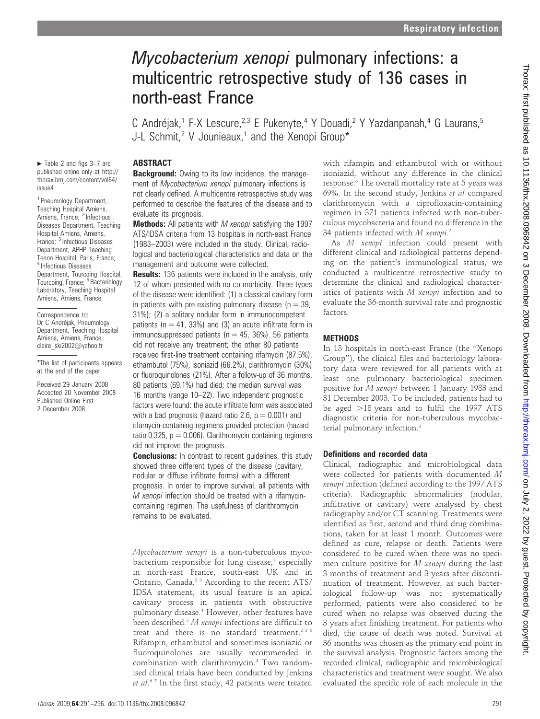# Mycobacterium xenopi pulmonary infections: a multicentric retrospective study of 136 cases in north-east France

C Andréjak,<sup>1</sup> F-X Lescure,<sup>2,3</sup> E Pukenyte,<sup>4</sup> Y Douadi,<sup>2</sup> Y Yazdanpanah,<sup>4</sup> G Laurans,<sup>5</sup> J-L Schmit,<sup>2</sup> V Jounieaux,<sup>1</sup> and the Xenopi Group\*

#### **ABSTRACT**

 $\blacktriangleright$  Table 2 and figs 3–7 are published online only at http:// thorax.bmj.com/content/vol64/ issue4

<sup>1</sup> Pneumology Department, Teaching Hospital Amiens, Amiens, France; <sup>2</sup> Infectious Diseases Department, Teaching Hospital Amiens, Amiens, France; <sup>3</sup> Infectious Diseases Department, APHP Teaching Tenon Hospital, Paris, France; <sup>4</sup> Infectious Diseases Department, Tourcoing Hospital, Tourcoing, France; <sup>5</sup> Bacteriology Laboratory, Teaching Hospital Amiens, Amiens, France

Correspondence to: Dr C Andréjak, Pneumology Department, Teaching Hospital Amiens, Amiens, France; claire\_ski2002@yahoo.fr

\*The list of participants appears at the end of the paper.

Received 29 January 2008 Accepted 20 November 2008 Published Online First 2 December 2008

**Background:** Owing to its low incidence, the management of Mycobacterium xenopi pulmonary infections is not clearly defined. A multicentre retrospective study was performed to describe the features of the disease and to evaluate its prognosis.

Methods: All patients with M xenopi satisfying the 1997 ATS/IDSA criteria from 13 hospitals in north-east France (1983–2003) were included in the study. Clinical, radiological and bacteriological characteristics and data on the management and outcome were collected.

**Results:** 136 patients were included in the analysis, only 12 of whom presented with no co-morbidity. Three types of the disease were identified: (1) a classical cavitary form in patients with pre-existing pulmonary disease ( $n = 39$ , 31%); (2) a solitary nodular form in immunocompetent patients ( $n = 41$ , 33%) and (3) an acute infiltrate form in immunosuppressed patients ( $n = 45$ , 36%). 56 patients did not receive any treatment; the other 80 patients received first-line treatment containing rifamycin (87.5%), ethambutol (75%), isoniazid (66.2%), clarithromycin (30%) or fluoroquinolones (21%). After a follow-up of 36 months, 80 patients (69.1%) had died; the median survival was 16 months (range 10–22). Two independent prognostic factors were found: the acute infiltrate form was associated with a bad prognosis (hazard ratio 2.6,  $p = 0.001$ ) and rifamycin-containing regimens provided protection (hazard ratio  $0.325$ ,  $p = 0.006$ ). Clarithromycin-containing regimens did not improve the prognosis.

**Conclusions:** In contrast to recent guidelines, this study showed three different types of the disease (cavitary, nodular or diffuse infiltrate forms) with a different prognosis. In order to improve survival, all patients with M xenopi infection should be treated with a rifamycincontaining regimen. The usefulness of clarithromycin remains to be evaluated.

Mycobacterium xenopi is a non-tuberculous mycobacterium responsible for lung disease, $1$  especially in north-east France, south-east UK and in Ontario, Canada.<sup>2 3</sup> According to the recent ATS/ IDSA statement, its usual feature is an apical cavitary process in patients with obstructive pulmonary disease.4 However, other features have been described. $5 M$  xenopi infections are difficult to treat and there is no standard treatment.<sup>235</sup> Rifampin, ethambutol and sometimes isoniazid or fluoroquinolones are usually recommended in combination with clarithromycin.4 Two randomised clinical trials have been conducted by Jenkins et al.<sup>67</sup> In the first study, 42 patients were treated

with rifampin and ethambutol with or without isoniazid, without any difference in the clinical response.<sup>6</sup> The overall mortality rate at 5 years was 69%. In the second study, Jenkins et al compared clarithromycin with a ciprofloxacin-containing regimen in 371 patients infected with non-tuberculous mycobacteria and found no difference in the 34 patients infected with M xenopi.<sup>7</sup>

As M xenopi infection could present with different clinical and radiological patterns depending on the patient's immunological status, we conducted a multicentre retrospective study to determine the clinical and radiological characteristics of patients with M xenopi infection and to evaluate the 36-month survival rate and prognostic factors.

#### METHODS

In 13 hospitals in north-east France (the ''Xenopi Group''), the clinical files and bacteriology laboratory data were reviewed for all patients with at least one pulmonary bacteriological specimen positive for M xenopi between 1 January 1983 and 31 December 2003. To be included, patients had to be aged  $>18$  years and to fulfil the 1997 ATS diagnostic criteria for non-tuberculous mycobacterial pulmonary infection.<sup>8</sup>

#### Definitions and recorded data

Clinical, radiographic and microbiological data were collected for patients with documented M xenopi infection (defined according to the 1997 ATS criteria). Radiographic abnormalities (nodular, infiltrative or cavitary) were analysed by chest radiography and/or CT scanning. Treatments were identified as first, second and third drug combinations, taken for at least 1 month. Outcomes were defined as cure, relapse or death. Patients were considered to be cured when there was no specimen culture positive for M xenopi during the last 3 months of treatment and 3 years after discontinuation of treatment. However, as such bacteriological follow-up was not systematically performed, patients were also considered to be cured when no relapse was observed during the 3 years after finishing treatment. For patients who died, the cause of death was noted. Survival at 36 months was chosen as the primary end point in the survival analysis. Prognostic factors among the recorded clinical, radiographic and microbiological characteristics and treatment were sought. We also evaluated the specific role of each molecule in the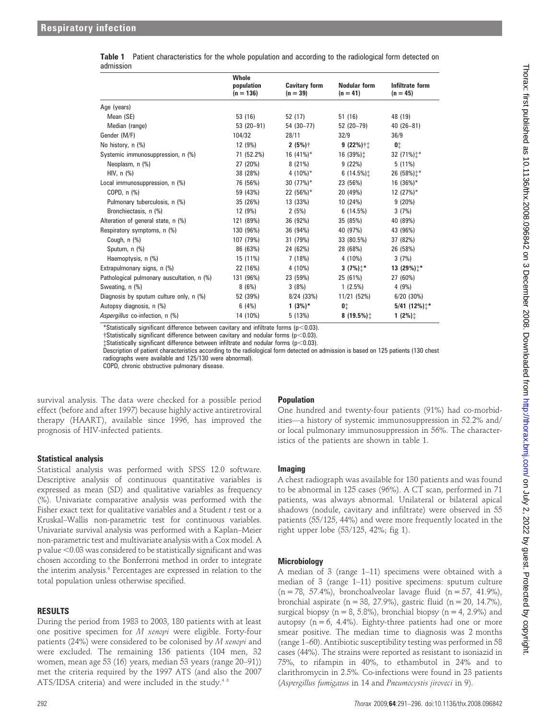| นนเเแงงเบเเ                                |                                    |                                    |                                   |                               |  |  |  |  |  |  |
|--------------------------------------------|------------------------------------|------------------------------------|-----------------------------------|-------------------------------|--|--|--|--|--|--|
|                                            | Whole<br>population<br>$(n = 136)$ | <b>Cavitary form</b><br>$(n = 39)$ | <b>Nodular form</b><br>$(n = 41)$ | Infiltrate form<br>$(n = 45)$ |  |  |  |  |  |  |
| Age (years)                                |                                    |                                    |                                   |                               |  |  |  |  |  |  |
| Mean (SE)                                  | 53 (16)                            | 52 (17)                            | 51(16)                            | 48 (19)                       |  |  |  |  |  |  |
| Median (range)                             | $53(20-91)$                        | 54 (30-77)                         | 52 (20-79)                        | $40(26 - 81)$                 |  |  |  |  |  |  |
| Gender (M/F)                               | 104/32                             | 28/11                              | 32/9                              | 36/9                          |  |  |  |  |  |  |
| No history, n (%)                          | 12 (9%)                            | $2(5%)$ †                          | $9(22%)$ ††                       | 0‡                            |  |  |  |  |  |  |
| Systemic immunosuppression, n (%)          | 71 (52.2%)                         | 16 $(41\%)^*$                      | 16 (39%):                         | 32 (71%) $\ddagger$ *         |  |  |  |  |  |  |
| Neoplasm, n (%)                            | 27 (20%)                           | 8(21%)                             | 9(22%)                            | $5(11\%)$                     |  |  |  |  |  |  |
| HIV, $n$ $%$                               | 38 (28%)                           | 4 $(10\%)^*$                       | 6(14.5%)                          | 26 (58%) $\pm$ *              |  |  |  |  |  |  |
| Local immunosuppression, n (%)             | 76 (56%)                           | 30 $(77%)^*$                       | 23 (56%)                          | $16(36\%)*$                   |  |  |  |  |  |  |
| COPD, $n$ $%$                              | 59 (43%)                           | 22 (56%)*                          | 20 (49%)                          | 12 $(27%)^*$                  |  |  |  |  |  |  |
| Pulmonary tuberculosis, n (%)              | 35 (26%)                           | 13 (33%)                           | 10 (24%)                          | 9(20%)                        |  |  |  |  |  |  |
| Bronchiectasis, n (%)                      | 12 (9%)                            | 2(5%)                              | 6(14.5%)                          | 3(7%)                         |  |  |  |  |  |  |
| Alteration of general state, n (%)         | 121 (89%)                          | 36 (92%)                           | 35 (85%)                          | 40 (89%)                      |  |  |  |  |  |  |
| Respiratory symptoms, n (%)                | 130 (96%)                          | 36 (94%)                           | 40 (97%)                          | 43 (96%)                      |  |  |  |  |  |  |
| Cough, n (%)                               | 107 (79%)                          | 31 (79%)                           | 33 (80.5%)                        | 37 (82%)                      |  |  |  |  |  |  |
| Sputum, n (%)                              | 86 (63%)                           | 24 (62%)                           | 28 (68%)                          | 26 (58%)                      |  |  |  |  |  |  |
| Haemoptysis, n (%)                         | 15 (11%)                           | 7 (18%)                            | 4 (10%)                           | 3(7%)                         |  |  |  |  |  |  |
| Extrapulmonary signs, n (%)                | 22 (16%)                           | 4 (10%)                            | 3 $(7%)$ <sup>*</sup>             | 13 (29%) $\uparrow^*$         |  |  |  |  |  |  |
| Pathological pulmonary auscultation, n (%) | 131 (96%)                          | 23 (59%)                           | 25 (61%)                          | 27 (60%)                      |  |  |  |  |  |  |
| Sweating, n (%)                            | 8(6%)                              | 3(8%)                              | $1(2.5\%)$                        | 4(9%)                         |  |  |  |  |  |  |
| Diagnosis by sputum culture only, n (%)    | 52 (39%)                           | $8/24$ (33%)                       | 11/21 (52%)                       | $6/20$ (30%)                  |  |  |  |  |  |  |
| Autopsy diagnosis, n (%)                   | 6(4%)                              | $1(3%)^*$                          | 01                                | $5/41$ (12%) $\pm$ *          |  |  |  |  |  |  |
| Aspergillus co-infection, n (%)            | 14 (10%)                           | 5(13%)                             | 8 $(19.5\%)$                      | $1(2\%)$                      |  |  |  |  |  |  |

|           | Table 1 Patient characteristics for the whole population and according to the radiological form detected on |  |  |  |
|-----------|-------------------------------------------------------------------------------------------------------------|--|--|--|
| admission |                                                                                                             |  |  |  |

\*Statistically significant difference between cavitary and infiltrate forms ( $p<0.03$ ).

 $\dagger$ Statistically significant difference between cavitary and nodular forms ( $p<0.03$ ).  $\pm$ Statistically significant difference between infiltrate and nodular forms (p<0.03).

Description of patient characteristics according to the radiological form detected on admission is based on 125 patients (130 chest radiographs were available and 125/130 were abnormal).

COPD, chronic obstructive pulmonary disease.

survival analysis. The data were checked for a possible period effect (before and after 1997) because highly active antiretroviral therapy (HAART), available since 1996, has improved the prognosis of HIV-infected patients.

#### Statistical analysis

Statistical analysis was performed with SPSS 12.0 software. Descriptive analysis of continuous quantitative variables is expressed as mean (SD) and qualitative variables as frequency (%). Univariate comparative analysis was performed with the Fisher exact text for qualitative variables and a Student  $t$  test or a Kruskal–Wallis non-parametric test for continuous variables. Univariate survival analysis was performed with a Kaplan–Meier non-parametric test and multivariate analysis with a Cox model. A p value <0.03 was considered to be statistically significant and was chosen according to the Bonferroni method in order to integrate the interim analysis.<sup>9</sup> Percentages are expressed in relation to the total population unless otherwise specified.

#### RESULTS

During the period from 1983 to 2003, 180 patients with at least one positive specimen for M xenopi were eligible. Forty-four patients (24%) were considered to be colonised by M xenopi and were excluded. The remaining 136 patients (104 men, 32 women, mean age 53 (16) years, median 53 years (range 20–91)) met the criteria required by the 1997 ATS (and also the 2007 ATS/IDSA criteria) and were included in the study.<sup>48</sup>

### Population

One hundred and twenty-four patients (91%) had co-morbidities—a history of systemic immunosuppression in 52.2% and/ or local pulmonary immunosuppression in 56%. The characteristics of the patients are shown in table 1.

#### Imaging

A chest radiograph was available for 130 patients and was found to be abnormal in 125 cases (96%). A CT scan, performed in 71 patients, was always abnormal. Unilateral or bilateral apical shadows (nodule, cavitary and infiltrate) were observed in 55 patients (55/125, 44%) and were more frequently located in the right upper lobe (53/125, 42%; fig 1).

#### **Microbiology**

A median of 3 (range 1–11) specimens were obtained with a median of 3 (range 1–11) positive specimens: sputum culture  $(n = 78, 57.4\%)$ , bronchoalveolar lavage fluid  $(n = 57, 41.9\%)$ , bronchial aspirate (n = 38, 27.9%), gastric fluid (n = 20, 14.7%), surgical biopsy ( $n = 8, 5.8\%$ ), bronchial biopsy ( $n = 4, 2.9\%$ ) and autopsy  $(n = 6, 4.4\%)$ . Eighty-three patients had one or more smear positive. The median time to diagnosis was 2 months (range 1–60). Antibiotic susceptibility testing was performed in 58 cases (44%). The strains were reported as resistant to isoniazid in 75%, to rifampin in 40%, to ethambutol in 24% and to clarithromycin in 2.5%. Co-infections were found in 23 patients (Aspergillus fumigatus in 14 and Pneumocystis jiroveci in 9).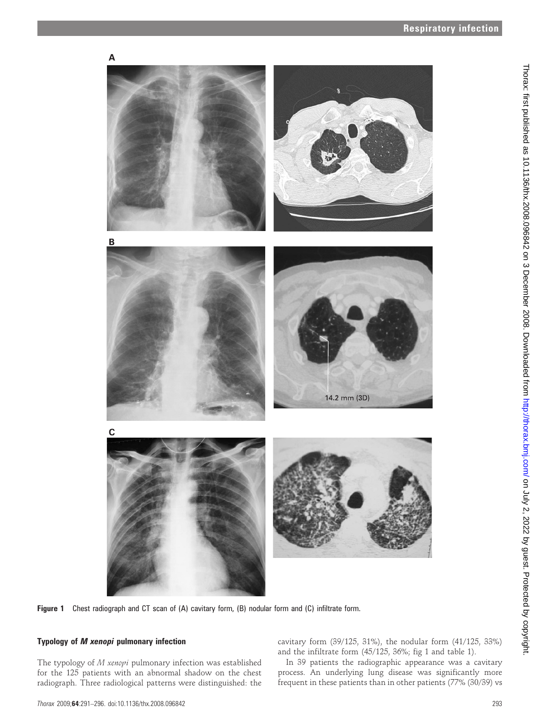

Figure 1 Chest radiograph and CT scan of (A) cavitary form, (B) nodular form and (C) infiltrate form.

### Typology of M xenopi pulmonary infection

The typology of M xenopi pulmonary infection was established for the 125 patients with an abnormal shadow on the chest radiograph. Three radiological patterns were distinguished: the cavitary form (39/125, 31%), the nodular form (41/125, 33%) and the infiltrate form (45/125, 36%; fig 1 and table 1).

In 39 patients the radiographic appearance was a cavitary process. An underlying lung disease was significantly more frequent in these patients than in other patients (77% (30/39) vs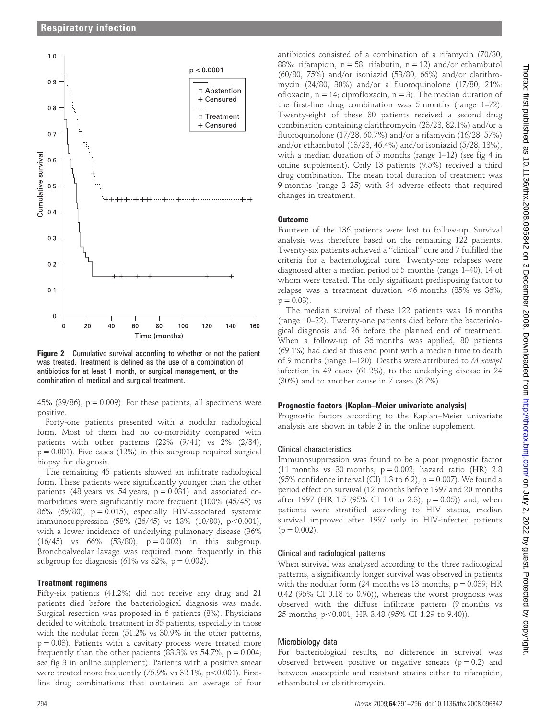

Figure 2 Cumulative survival according to whether or not the patient was treated. Treatment is defined as the use of a combination of antibiotics for at least 1 month, or surgical management, or the combination of medical and surgical treatment.

45% (39/86),  $p = 0.009$ ). For these patients, all specimens were positive.

Forty-one patients presented with a nodular radiological form. Most of them had no co-morbidity compared with patients with other patterns (22% (9/41) vs 2% (2/84),  $p = 0.001$ ). Five cases (12%) in this subgroup required surgical biopsy for diagnosis.

The remaining 45 patients showed an infiltrate radiological form. These patients were significantly younger than the other patients (48 years vs 54 years,  $p = 0.031$ ) and associated comorbidities were significantly more frequent (100% (45/45) vs 86% (69/80),  $p = 0.015$ ), especially HIV-associated systemic immunosuppression  $(58\% (26/45)$  vs 13%  $(10/80)$ , p $< 0.001$ ), with a lower incidence of underlying pulmonary disease (36%  $(16/45)$  vs  $66\%$   $(53/80)$ ,  $p = 0.002$ ) in this subgroup. Bronchoalveolar lavage was required more frequently in this subgroup for diagnosis (61% vs 32%,  $p = 0.002$ ).

#### Treatment regimens

Fifty-six patients (41.2%) did not receive any drug and 21 patients died before the bacteriological diagnosis was made. Surgical resection was proposed in 6 patients (8%). Physicians decided to withhold treatment in 35 patients, especially in those with the nodular form (51.2% vs 30.9% in the other patterns,  $p = 0.03$ ). Patients with a cavitary process were treated more frequently than the other patients (83.3% vs 54.7%,  $p = 0.004$ ; see fig 3 in online supplement). Patients with a positive smear were treated more frequently  $(75.9\% \text{ vs } 32.1\%, \text{ p} < 0.001)$ . Firstline drug combinations that contained an average of four

antibiotics consisted of a combination of a rifamycin (70/80, 88%: rifampicin,  $n = 58$ ; rifabutin,  $n = 12$ ) and/or ethambutol (60/80, 75%) and/or isoniazid (53/80, 66%) and/or clarithromycin (24/80, 30%) and/or a fluoroquinolone (17/80, 21%: ofloxacin,  $n = 14$ ; ciprofloxacin,  $n = 3$ ). The median duration of the first-line drug combination was 5 months (range 1–72). Twenty-eight of these 80 patients received a second drug combination containing clarithromycin (23/28, 82.1%) and/or a fluoroquinolone (17/28, 60.7%) and/or a rifamycin (16/28, 57%) and/or ethambutol (13/28, 46.4%) and/or isoniazid (5/28, 18%), with a median duration of 5 months (range 1–12) (see fig 4 in online supplement). Only 13 patients (9.5%) received a third drug combination. The mean total duration of treatment was 9 months (range 2–25) with 34 adverse effects that required changes in treatment.

#### **Outcome**

Fourteen of the 136 patients were lost to follow-up. Survival analysis was therefore based on the remaining 122 patients. Twenty-six patients achieved a ''clinical'' cure and 7 fulfilled the criteria for a bacteriological cure. Twenty-one relapses were diagnosed after a median period of 5 months (range 1–40), 14 of whom were treated. The only significant predisposing factor to relapse was a treatment duration  $<6$  months (85% vs 36%,  $p = 0.03$ ).

The median survival of these 122 patients was 16 months (range 10–22). Twenty-one patients died before the bacteriological diagnosis and 26 before the planned end of treatment. When a follow-up of 36 months was applied, 80 patients (69.1%) had died at this end point with a median time to death of 9 months (range 1–120). Deaths were attributed to M xenopi infection in 49 cases (61.2%), to the underlying disease in 24 (30%) and to another cause in 7 cases (8.7%).

#### Prognostic factors (Kaplan–Meier univariate analysis)

Prognostic factors according to the Kaplan–Meier univariate analysis are shown in table 2 in the online supplement.

#### Clinical characteristics

Immunosuppression was found to be a poor prognostic factor (11 months vs 30 months,  $p = 0.002$ ; hazard ratio (HR) 2.8 (95% confidence interval (CI) 1.3 to 6.2),  $p = 0.007$ ). We found a period effect on survival (12 months before 1997 and 20 months after 1997 (HR 1.5 (95% CI 1.0 to 2.3),  $p = 0.05$ )) and, when patients were stratified according to HIV status, median survival improved after 1997 only in HIV-infected patients  $(p = 0.002)$ .

#### Clinical and radiological patterns

When survival was analysed according to the three radiological patterns, a significantly longer survival was observed in patients with the nodular form  $(24$  months vs 13 months,  $p = 0.039$ ; HR 0.42 (95% CI 0.18 to 0.96)), whereas the worst prognosis was observed with the diffuse infiltrate pattern (9 months vs 25 months, p<0.001; HR 3.48 (95% CI 1.29 to 9.40)).

#### Microbiology data

For bacteriological results, no difference in survival was observed between positive or negative smears ( $p = 0.2$ ) and between susceptible and resistant strains either to rifampicin, ethambutol or clarithromycin.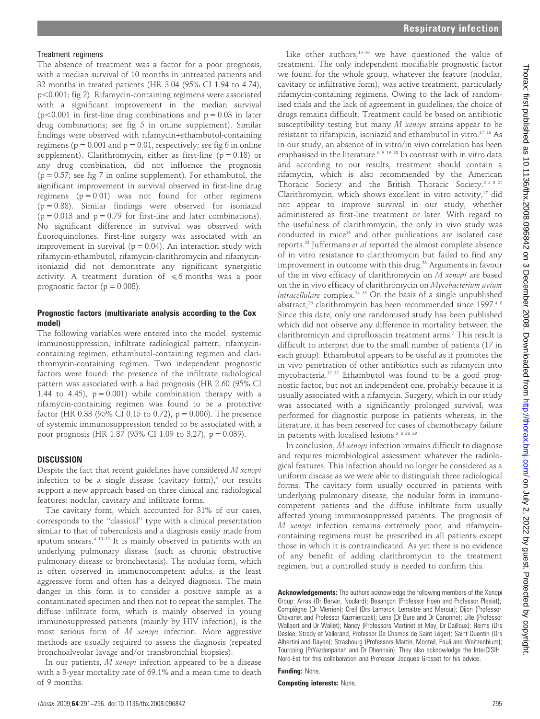#### Treatment regimens

The absence of treatment was a factor for a poor prognosis, with a median survival of 10 months in untreated patients and 32 months in treated patients (HR 3.04 (95% CI 1.94 to 4.74),  $p<0.001$ ; fig 2). Rifamycin-containing regimens were associated with a significant improvement in the median survival  $(p<0.001$  in first-line drug combinations and  $p = 0.03$  in later drug combinations; see fig 5 in online supplement). Similar findings were observed with rifamycin+ethambutol-containing regimens ( $p = 0.001$  and  $p = 0.01$ , respectively; see fig 6 in online supplement). Clarithromycin, either as first-line ( $p = 0.18$ ) or any drug combination, did not influence the prognosis  $(p = 0.57;$  see fig 7 in online supplement). For ethambutol, the significant improvement in survival observed in first-line drug regimens  $(p = 0.01)$  was not found for other regimens  $(p = 0.88)$ . Similar findings were observed for isoniazid  $(p = 0.013$  and  $p = 0.79$  for first-line and later combinations). No significant difference in survival was observed with fluoroquinolones. First-line surgery was associated with an improvement in survival ( $p = 0.04$ ). An interaction study with rifamycin-ethambutol, rifamycin-clarithromycin and rifamycinisoniazid did not demonstrate any significant synergistic activity. A treatment duration of  $\leq 6$  months was a poor prognostic factor ( $p = 0.008$ ).

#### Prognostic factors (multivariate analysis according to the Cox model)

The following variables were entered into the model: systemic immunosuppression, infiltrate radiological pattern, rifamycincontaining regimen, ethambutol-containing regimen and clarithromycin-containing regimen. Two independent prognostic factors were found: the presence of the infiltrate radiological pattern was associated with a bad prognosis (HR 2.60 (95% CI 1.44 to 4.45),  $p = 0.001$ ) while combination therapy with a rifamycin-containing regimen was found to be a protective factor (HR 0.33 (95% CI 0.15 to 0.72),  $p = 0.006$ ). The presence of systemic immunosuppression tended to be associated with a poor prognosis (HR 1.87 (95% CI 1.09 to 3.27), p = 0.039).

#### **DISCUSSION**

Despite the fact that recent guidelines have considered M xenopi infection to be a single disease (cavitary form), $4$  our results support a new approach based on three clinical and radiological features: nodular, cavitary and infiltrate forms.

The cavitary form, which accounted for 31% of our cases, corresponds to the ''classical'' type with a clinical presentation similar to that of tuberculosis and a diagnosis easily made from sputum smears.4 10–12 It is mainly observed in patients with an underlying pulmonary disease (such as chronic obstructive pulmonary disease or bronchectasis). The nodular form, which is often observed in immunocompetent adults, is the least aggressive form and often has a delayed diagnosis. The main danger in this form is to consider a positive sample as a contaminated specimen and then not to repeat the samples. The diffuse infiltrate form, which is mainly observed in young immunosuppressed patients (mainly by HIV infection), is the most serious form of M xenopi infection. More aggressive methods are usually required to assess the diagnosis (repeated bronchoalveolar lavage and/or transbronchial biopsies).

In our patients, M xenopi infection appeared to be a disease with a 3-year mortality rate of 69.1% and a mean time to death of 9 months.

Like other authors, $13-16$  we have questioned the value of treatment. The only independent modifiable prognostic factor we found for the whole group, whatever the feature (nodular, cavitary or infiltrative form), was active treatment, particularly rifamycin-containing regimens. Owing to the lack of randomised trials and the lack of agreement in guidelines, the choice of drugs remains difficult. Treatment could be based on antibiotic susceptibility testing but many M xenopi strains appear to be resistant to rifampicin, isoniazid and ethambutol in vitro.17 18 As in our study, an absence of in vitro/in vivo correlation has been emphasised in the literature.<sup>6 9 19 20</sup> In contrast with in vitro data and according to our results, treatment should contain a rifamycin, which is also recommended by the American Thoracic Society and the British Thoracic Society.<sup>2 4 8 21</sup> Clarithromycin, which shows excellent in vitro activity,<sup>17</sup> did not appear to improve survival in our study, whether administered as first-line treatment or later. With regard to the usefulness of clarithromycin, the only in vivo study was conducted in mice<sup>18</sup> and other publications are isolated case reports.22 Juffermans et al reported the almost complete absence of in vitro resistance to clarithromycin but failed to find any improvement in outcome with this drug.<sup>23</sup> Arguments in favour of the in vivo efficacy of clarithromycin on  $M$  xenopi are based on the in vivo efficacy of clarithromycin on Mycobacterium avium intracellulare complex.<sup>24 25</sup> On the basis of a single unpublished abstract,<sup>26</sup> clarithromycin has been recommended since 1997.<sup>48</sup> Since this date, only one randomised study has been published which did not observe any difference in mortality between the clarithromicyn and ciprofloxacin treatment arms.7 This result is difficult to interpret due to the small number of patients (17 in each group). Ethambutol appears to be useful as it promotes the in vivo penetration of other antibiotics such as rifamycin into mycobacteria.17 27 Ethambutol was found to be a good prognostic factor, but not an independent one, probably because it is usually associated with a rifamycin. Surgery, which in our study was associated with a significantly prolonged survival, was performed for diagnostic purpose in patients whereas, in the literature, it has been reserved for cases of chemotherapy failure in patients with localised lesions.<sup>2 8 28 29</sup>

In conclusion, M xenopi infection remains difficult to diagnose and requires microbiological assessment whatever the radiological features. This infection should no longer be considered as a uniform disease as we were able to distinguish three radiological forms. The cavitary form usually occurred in patients with underlying pulmonary disease, the nodular form in immunocompetent patients and the diffuse infiltrate form usually affected young immunosuppressed patients. The prognosis of M xenopi infection remains extremely poor, and rifamycincontaining regimens must be prescribed in all patients except those in which it is contraindicated. As yet there is no evidence of any benefit of adding clarithromycin to the treatment regimen, but a controlled study is needed to confirm this.

Acknowledgements: The authors acknowledge the following members of the Xenopi Group: Arras (Dr Bervar, Noulard); Besançon (Professor Hoen and Professor Plesiat); Compiègne (Dr Merrien); Creil (Drs Lamarck, Lemaitre and Merour); Dijon (Professor Chavanet and Professor Kazmierczak); Lens (Dr Bure and Dr Canonne); Lille (Professor Wallaert and Dr Wallet); Nancy (Professors Martinet et May, Dr Dailloux); Reims (Drs Deslee, Strady et Vallerand, Professor De Champs de Saint Léger); Saint Quentin (Drs Albertini and Dayen); Strasbourg (Professors Martin, Monteil, Pauli and Weitzenblum); Tourcoing (PrYazdanpanah and Dr Dhennain). They also acknowledge the InterCISIH Nord-Est for this collaboration and Professor Jacques Grosset for his advice.

Funding: None.

Competing interests: None.